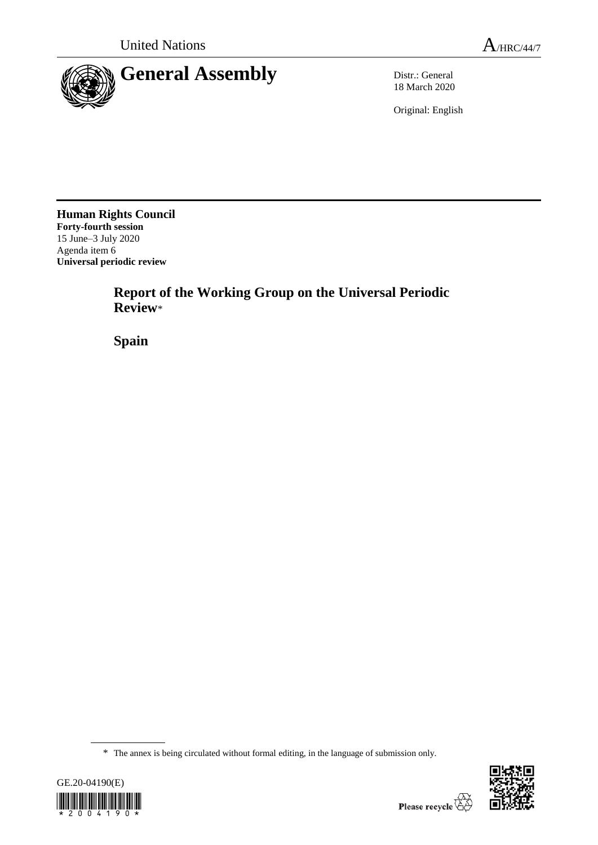

18 March 2020

Original: English

**Human Rights Council Forty-fourth session** 15 June–3 July 2020 Agenda item 6 **Universal periodic review**

> **Report of the Working Group on the Universal Periodic Review**\*

**Spain**

<sup>\*</sup> The annex is being circulated without formal editing, in the language of submission only.



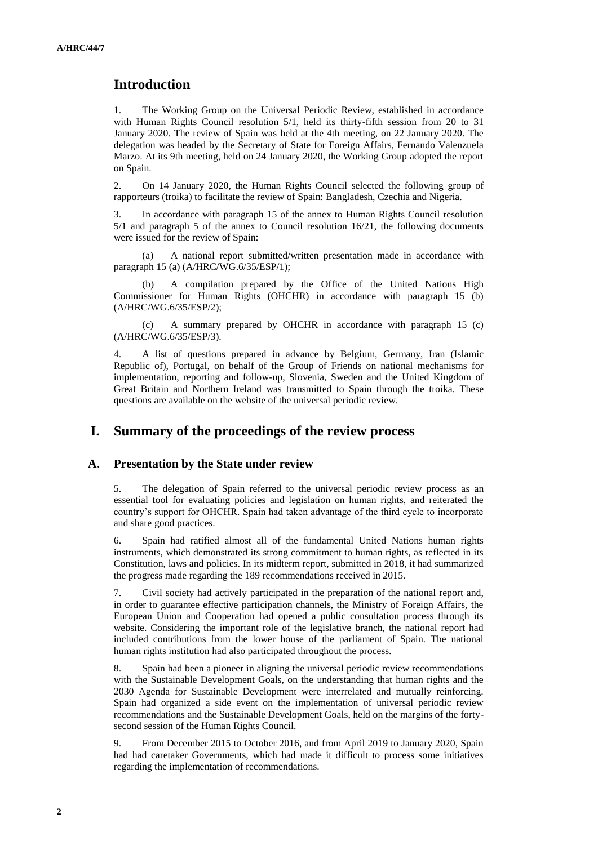# **Introduction**

1. The Working Group on the Universal Periodic Review, established in accordance with Human Rights Council resolution 5/1, held its thirty-fifth session from 20 to 31 January 2020. The review of Spain was held at the 4th meeting, on 22 January 2020. The delegation was headed by the Secretary of State for Foreign Affairs, Fernando Valenzuela Marzo. At its 9th meeting, held on 24 January 2020, the Working Group adopted the report on Spain.

2. On 14 January 2020, the Human Rights Council selected the following group of rapporteurs (troika) to facilitate the review of Spain: Bangladesh, Czechia and Nigeria.

3. In accordance with paragraph 15 of the annex to Human Rights Council resolution 5/1 and paragraph 5 of the annex to Council resolution 16/21, the following documents were issued for the review of Spain:

(a) A national report submitted/written presentation made in accordance with paragraph 15 (a) (A/HRC/WG.6/35/ESP/1);

(b) A compilation prepared by the Office of the United Nations High Commissioner for Human Rights (OHCHR) in accordance with paragraph 15 (b) (A/HRC/WG.6/35/ESP/2);

(c) A summary prepared by OHCHR in accordance with paragraph 15 (c) (A/HRC/WG.6/35/ESP/3).

4. A list of questions prepared in advance by Belgium, Germany, Iran (Islamic Republic of), Portugal, on behalf of the Group of Friends on national mechanisms for implementation, reporting and follow-up, Slovenia, Sweden and the United Kingdom of Great Britain and Northern Ireland was transmitted to Spain through the troika. These questions are available on the website of the universal periodic review.

## **I. Summary of the proceedings of the review process**

### **A. Presentation by the State under review**

5. The delegation of Spain referred to the universal periodic review process as an essential tool for evaluating policies and legislation on human rights, and reiterated the country's support for OHCHR. Spain had taken advantage of the third cycle to incorporate and share good practices.

6. Spain had ratified almost all of the fundamental United Nations human rights instruments, which demonstrated its strong commitment to human rights, as reflected in its Constitution, laws and policies. In its midterm report, submitted in 2018, it had summarized the progress made regarding the 189 recommendations received in 2015.

7. Civil society had actively participated in the preparation of the national report and, in order to guarantee effective participation channels, the Ministry of Foreign Affairs, the European Union and Cooperation had opened a public consultation process through its website. Considering the important role of the legislative branch, the national report had included contributions from the lower house of the parliament of Spain. The national human rights institution had also participated throughout the process.

8. Spain had been a pioneer in aligning the universal periodic review recommendations with the Sustainable Development Goals, on the understanding that human rights and the 2030 Agenda for Sustainable Development were interrelated and mutually reinforcing. Spain had organized a side event on the implementation of universal periodic review recommendations and the Sustainable Development Goals, held on the margins of the fortysecond session of the Human Rights Council.

9. From December 2015 to October 2016, and from April 2019 to January 2020, Spain had had caretaker Governments, which had made it difficult to process some initiatives regarding the implementation of recommendations.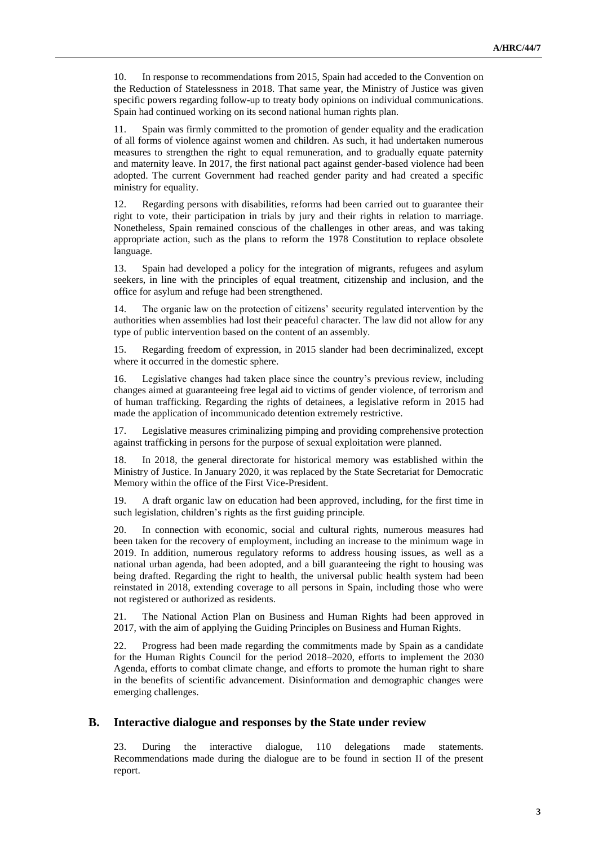10. In response to recommendations from 2015, Spain had acceded to the Convention on the Reduction of Statelessness in 2018. That same year, the Ministry of Justice was given specific powers regarding follow-up to treaty body opinions on individual communications. Spain had continued working on its second national human rights plan.

11. Spain was firmly committed to the promotion of gender equality and the eradication of all forms of violence against women and children. As such, it had undertaken numerous measures to strengthen the right to equal remuneration, and to gradually equate paternity and maternity leave. In 2017, the first national pact against gender-based violence had been adopted. The current Government had reached gender parity and had created a specific ministry for equality.

12. Regarding persons with disabilities, reforms had been carried out to guarantee their right to vote, their participation in trials by jury and their rights in relation to marriage. Nonetheless, Spain remained conscious of the challenges in other areas, and was taking appropriate action, such as the plans to reform the 1978 Constitution to replace obsolete language.

13. Spain had developed a policy for the integration of migrants, refugees and asylum seekers, in line with the principles of equal treatment, citizenship and inclusion, and the office for asylum and refuge had been strengthened.

14. The organic law on the protection of citizens' security regulated intervention by the authorities when assemblies had lost their peaceful character. The law did not allow for any type of public intervention based on the content of an assembly.

15. Regarding freedom of expression, in 2015 slander had been decriminalized, except where it occurred in the domestic sphere.

16. Legislative changes had taken place since the country's previous review, including changes aimed at guaranteeing free legal aid to victims of gender violence, of terrorism and of human trafficking. Regarding the rights of detainees, a legislative reform in 2015 had made the application of incommunicado detention extremely restrictive.

17. Legislative measures criminalizing pimping and providing comprehensive protection against trafficking in persons for the purpose of sexual exploitation were planned.

18. In 2018, the general directorate for historical memory was established within the Ministry of Justice. In January 2020, it was replaced by the State Secretariat for Democratic Memory within the office of the First Vice-President.

19. A draft organic law on education had been approved, including, for the first time in such legislation, children's rights as the first guiding principle.

20. In connection with economic, social and cultural rights, numerous measures had been taken for the recovery of employment, including an increase to the minimum wage in 2019. In addition, numerous regulatory reforms to address housing issues, as well as a national urban agenda, had been adopted, and a bill guaranteeing the right to housing was being drafted. Regarding the right to health, the universal public health system had been reinstated in 2018, extending coverage to all persons in Spain, including those who were not registered or authorized as residents.

21. The National Action Plan on Business and Human Rights had been approved in 2017, with the aim of applying the Guiding Principles on Business and Human Rights.

22. Progress had been made regarding the commitments made by Spain as a candidate for the Human Rights Council for the period 2018–2020, efforts to implement the 2030 Agenda, efforts to combat climate change, and efforts to promote the human right to share in the benefits of scientific advancement. Disinformation and demographic changes were emerging challenges.

#### **B. Interactive dialogue and responses by the State under review**

23. During the interactive dialogue, 110 delegations made statements. Recommendations made during the dialogue are to be found in section II of the present report.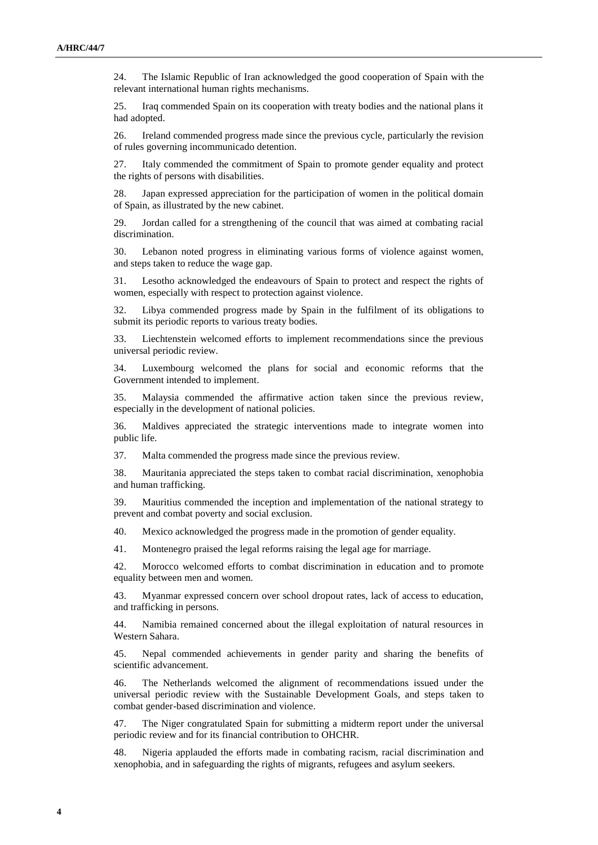24. The Islamic Republic of Iran acknowledged the good cooperation of Spain with the relevant international human rights mechanisms.

25. Iraq commended Spain on its cooperation with treaty bodies and the national plans it had adopted.

26. Ireland commended progress made since the previous cycle, particularly the revision of rules governing incommunicado detention.

27. Italy commended the commitment of Spain to promote gender equality and protect the rights of persons with disabilities.

28. Japan expressed appreciation for the participation of women in the political domain of Spain, as illustrated by the new cabinet.

29. Jordan called for a strengthening of the council that was aimed at combating racial discrimination.

30. Lebanon noted progress in eliminating various forms of violence against women, and steps taken to reduce the wage gap.

31. Lesotho acknowledged the endeavours of Spain to protect and respect the rights of women, especially with respect to protection against violence.

32. Libya commended progress made by Spain in the fulfilment of its obligations to submit its periodic reports to various treaty bodies.

33. Liechtenstein welcomed efforts to implement recommendations since the previous universal periodic review.

34. Luxembourg welcomed the plans for social and economic reforms that the Government intended to implement.

35. Malaysia commended the affirmative action taken since the previous review, especially in the development of national policies.

36. Maldives appreciated the strategic interventions made to integrate women into public life.

37. Malta commended the progress made since the previous review.

38. Mauritania appreciated the steps taken to combat racial discrimination, xenophobia and human trafficking.

39. Mauritius commended the inception and implementation of the national strategy to prevent and combat poverty and social exclusion.

40. Mexico acknowledged the progress made in the promotion of gender equality.

41. Montenegro praised the legal reforms raising the legal age for marriage.

42. Morocco welcomed efforts to combat discrimination in education and to promote equality between men and women.

43. Myanmar expressed concern over school dropout rates, lack of access to education, and trafficking in persons.

44. Namibia remained concerned about the illegal exploitation of natural resources in Western Sahara.

45. Nepal commended achievements in gender parity and sharing the benefits of scientific advancement.

46. The Netherlands welcomed the alignment of recommendations issued under the universal periodic review with the Sustainable Development Goals, and steps taken to combat gender-based discrimination and violence.

47. The Niger congratulated Spain for submitting a midterm report under the universal periodic review and for its financial contribution to OHCHR.

48. Nigeria applauded the efforts made in combating racism, racial discrimination and xenophobia, and in safeguarding the rights of migrants, refugees and asylum seekers.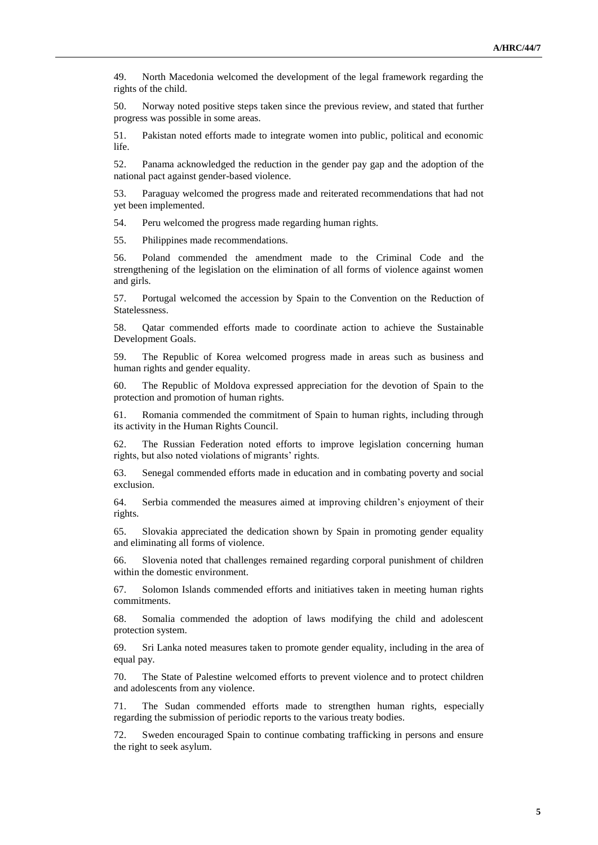49. North Macedonia welcomed the development of the legal framework regarding the rights of the child.

50. Norway noted positive steps taken since the previous review, and stated that further progress was possible in some areas.

51. Pakistan noted efforts made to integrate women into public, political and economic life.

52. Panama acknowledged the reduction in the gender pay gap and the adoption of the national pact against gender-based violence.

53. Paraguay welcomed the progress made and reiterated recommendations that had not yet been implemented.

54. Peru welcomed the progress made regarding human rights.

55. Philippines made recommendations.

56. Poland commended the amendment made to the Criminal Code and the strengthening of the legislation on the elimination of all forms of violence against women and girls.

57. Portugal welcomed the accession by Spain to the Convention on the Reduction of Statelessness.

58. Qatar commended efforts made to coordinate action to achieve the Sustainable Development Goals.

59. The Republic of Korea welcomed progress made in areas such as business and human rights and gender equality.

60. The Republic of Moldova expressed appreciation for the devotion of Spain to the protection and promotion of human rights.

61. Romania commended the commitment of Spain to human rights, including through its activity in the Human Rights Council.

62. The Russian Federation noted efforts to improve legislation concerning human rights, but also noted violations of migrants' rights.

63. Senegal commended efforts made in education and in combating poverty and social exclusion.

64. Serbia commended the measures aimed at improving children's enjoyment of their rights.

65. Slovakia appreciated the dedication shown by Spain in promoting gender equality and eliminating all forms of violence.

66. Slovenia noted that challenges remained regarding corporal punishment of children within the domestic environment.

67. Solomon Islands commended efforts and initiatives taken in meeting human rights commitments.

68. Somalia commended the adoption of laws modifying the child and adolescent protection system.

69. Sri Lanka noted measures taken to promote gender equality, including in the area of equal pay.

70. The State of Palestine welcomed efforts to prevent violence and to protect children and adolescents from any violence.

71. The Sudan commended efforts made to strengthen human rights, especially regarding the submission of periodic reports to the various treaty bodies.

72. Sweden encouraged Spain to continue combating trafficking in persons and ensure the right to seek asylum.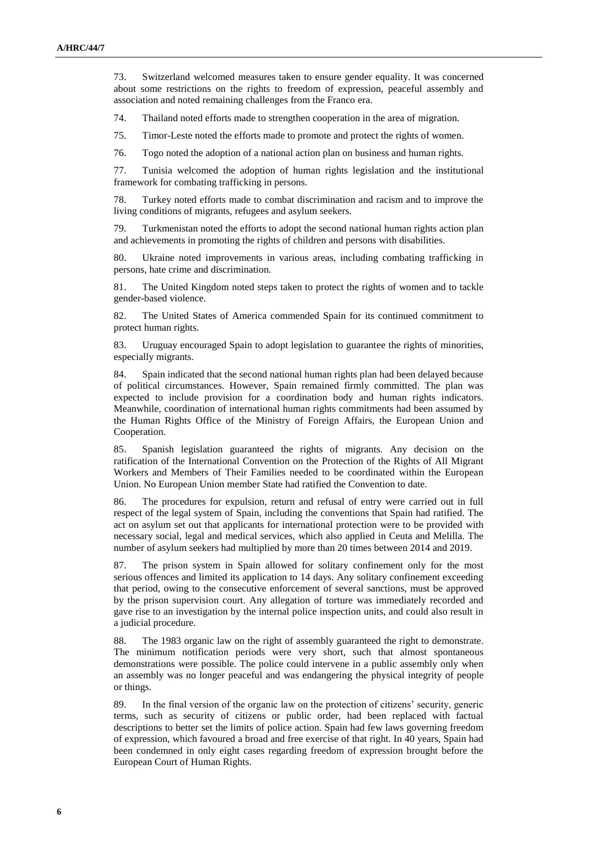73. Switzerland welcomed measures taken to ensure gender equality. It was concerned about some restrictions on the rights to freedom of expression, peaceful assembly and association and noted remaining challenges from the Franco era.

74. Thailand noted efforts made to strengthen cooperation in the area of migration.

75. Timor-Leste noted the efforts made to promote and protect the rights of women.

76. Togo noted the adoption of a national action plan on business and human rights.

77. Tunisia welcomed the adoption of human rights legislation and the institutional framework for combating trafficking in persons.

78. Turkey noted efforts made to combat discrimination and racism and to improve the living conditions of migrants, refugees and asylum seekers.

79. Turkmenistan noted the efforts to adopt the second national human rights action plan and achievements in promoting the rights of children and persons with disabilities.

80. Ukraine noted improvements in various areas, including combating trafficking in persons, hate crime and discrimination.

81. The United Kingdom noted steps taken to protect the rights of women and to tackle gender-based violence.

82. The United States of America commended Spain for its continued commitment to protect human rights.

83. Uruguay encouraged Spain to adopt legislation to guarantee the rights of minorities, especially migrants.

84. Spain indicated that the second national human rights plan had been delayed because of political circumstances. However, Spain remained firmly committed. The plan was expected to include provision for a coordination body and human rights indicators. Meanwhile, coordination of international human rights commitments had been assumed by the Human Rights Office of the Ministry of Foreign Affairs, the European Union and Cooperation.

85. Spanish legislation guaranteed the rights of migrants. Any decision on the ratification of the International Convention on the Protection of the Rights of All Migrant Workers and Members of Their Families needed to be coordinated within the European Union. No European Union member State had ratified the Convention to date.

86. The procedures for expulsion, return and refusal of entry were carried out in full respect of the legal system of Spain, including the conventions that Spain had ratified. The act on asylum set out that applicants for international protection were to be provided with necessary social, legal and medical services, which also applied in Ceuta and Melilla. The number of asylum seekers had multiplied by more than 20 times between 2014 and 2019.

87. The prison system in Spain allowed for solitary confinement only for the most serious offences and limited its application to 14 days. Any solitary confinement exceeding that period, owing to the consecutive enforcement of several sanctions, must be approved by the prison supervision court. Any allegation of torture was immediately recorded and gave rise to an investigation by the internal police inspection units, and could also result in a judicial procedure.

88. The 1983 organic law on the right of assembly guaranteed the right to demonstrate. The minimum notification periods were very short, such that almost spontaneous demonstrations were possible. The police could intervene in a public assembly only when an assembly was no longer peaceful and was endangering the physical integrity of people or things.

89. In the final version of the organic law on the protection of citizens' security, generic terms, such as security of citizens or public order, had been replaced with factual descriptions to better set the limits of police action. Spain had few laws governing freedom of expression, which favoured a broad and free exercise of that right. In 40 years, Spain had been condemned in only eight cases regarding freedom of expression brought before the European Court of Human Rights.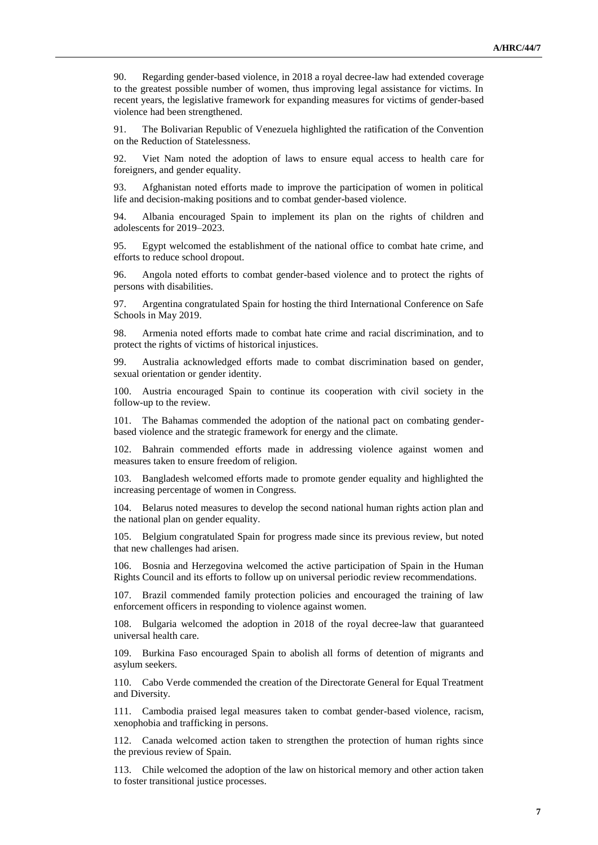90. Regarding gender-based violence, in 2018 a royal decree-law had extended coverage to the greatest possible number of women, thus improving legal assistance for victims. In recent years, the legislative framework for expanding measures for victims of gender-based violence had been strengthened.

91. The Bolivarian Republic of Venezuela highlighted the ratification of the Convention on the Reduction of Statelessness.

92. Viet Nam noted the adoption of laws to ensure equal access to health care for foreigners, and gender equality.

93. Afghanistan noted efforts made to improve the participation of women in political life and decision-making positions and to combat gender-based violence.

94. Albania encouraged Spain to implement its plan on the rights of children and adolescents for 2019–2023.

95. Egypt welcomed the establishment of the national office to combat hate crime, and efforts to reduce school dropout.

96. Angola noted efforts to combat gender-based violence and to protect the rights of persons with disabilities.

97. Argentina congratulated Spain for hosting the third International Conference on Safe Schools in May 2019.

98. Armenia noted efforts made to combat hate crime and racial discrimination, and to protect the rights of victims of historical injustices.

99. Australia acknowledged efforts made to combat discrimination based on gender, sexual orientation or gender identity.

100. Austria encouraged Spain to continue its cooperation with civil society in the follow-up to the review.

101. The Bahamas commended the adoption of the national pact on combating genderbased violence and the strategic framework for energy and the climate.

102. Bahrain commended efforts made in addressing violence against women and measures taken to ensure freedom of religion.

103. Bangladesh welcomed efforts made to promote gender equality and highlighted the increasing percentage of women in Congress.

104. Belarus noted measures to develop the second national human rights action plan and the national plan on gender equality.

105. Belgium congratulated Spain for progress made since its previous review, but noted that new challenges had arisen.

106. Bosnia and Herzegovina welcomed the active participation of Spain in the Human Rights Council and its efforts to follow up on universal periodic review recommendations.

107. Brazil commended family protection policies and encouraged the training of law enforcement officers in responding to violence against women.

108. Bulgaria welcomed the adoption in 2018 of the royal decree-law that guaranteed universal health care.

109. Burkina Faso encouraged Spain to abolish all forms of detention of migrants and asylum seekers.

110. Cabo Verde commended the creation of the Directorate General for Equal Treatment and Diversity.

111. Cambodia praised legal measures taken to combat gender-based violence, racism, xenophobia and trafficking in persons.

112. Canada welcomed action taken to strengthen the protection of human rights since the previous review of Spain.

113. Chile welcomed the adoption of the law on historical memory and other action taken to foster transitional justice processes.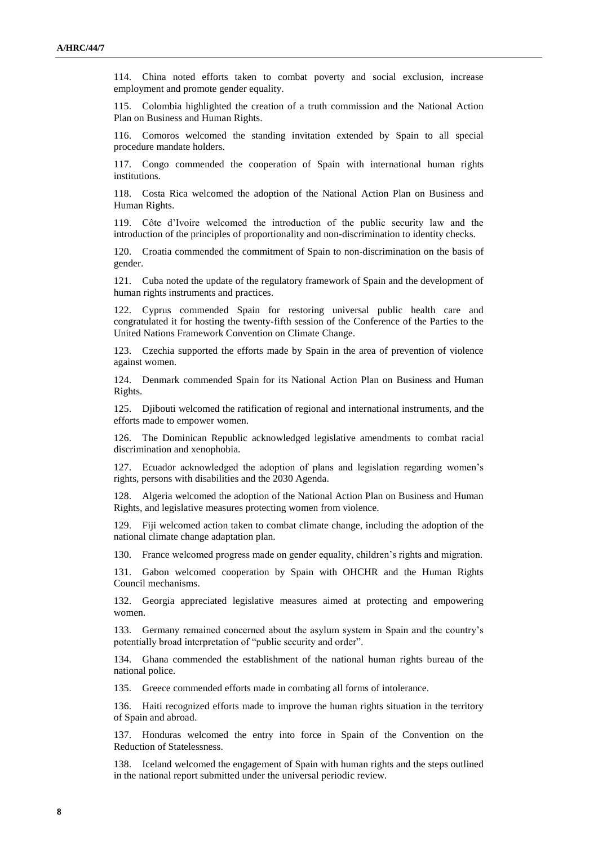114. China noted efforts taken to combat poverty and social exclusion, increase employment and promote gender equality.

115. Colombia highlighted the creation of a truth commission and the National Action Plan on Business and Human Rights.

116. Comoros welcomed the standing invitation extended by Spain to all special procedure mandate holders.

117. Congo commended the cooperation of Spain with international human rights institutions.

118. Costa Rica welcomed the adoption of the National Action Plan on Business and Human Rights.

119. Côte d'Ivoire welcomed the introduction of the public security law and the introduction of the principles of proportionality and non-discrimination to identity checks.

120. Croatia commended the commitment of Spain to non-discrimination on the basis of gender.

121. Cuba noted the update of the regulatory framework of Spain and the development of human rights instruments and practices.

122. Cyprus commended Spain for restoring universal public health care and congratulated it for hosting the twenty-fifth session of the Conference of the Parties to the United Nations Framework Convention on Climate Change.

123. Czechia supported the efforts made by Spain in the area of prevention of violence against women.

124. Denmark commended Spain for its National Action Plan on Business and Human Rights.

125. Djibouti welcomed the ratification of regional and international instruments, and the efforts made to empower women.

126. The Dominican Republic acknowledged legislative amendments to combat racial discrimination and xenophobia.

127. Ecuador acknowledged the adoption of plans and legislation regarding women's rights, persons with disabilities and the 2030 Agenda.

128. Algeria welcomed the adoption of the National Action Plan on Business and Human Rights, and legislative measures protecting women from violence.

129. Fiji welcomed action taken to combat climate change, including the adoption of the national climate change adaptation plan.

130. France welcomed progress made on gender equality, children's rights and migration.

131. Gabon welcomed cooperation by Spain with OHCHR and the Human Rights Council mechanisms.

132. Georgia appreciated legislative measures aimed at protecting and empowering women.

133. Germany remained concerned about the asylum system in Spain and the country's potentially broad interpretation of "public security and order".

134. Ghana commended the establishment of the national human rights bureau of the national police.

135. Greece commended efforts made in combating all forms of intolerance.

136. Haiti recognized efforts made to improve the human rights situation in the territory of Spain and abroad.

137. Honduras welcomed the entry into force in Spain of the Convention on the Reduction of Statelessness.

138. Iceland welcomed the engagement of Spain with human rights and the steps outlined in the national report submitted under the universal periodic review.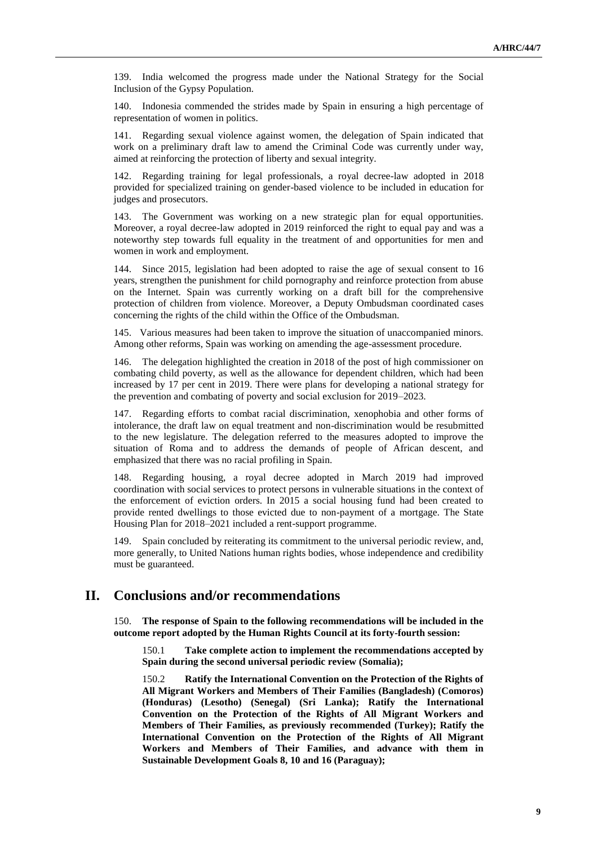139. India welcomed the progress made under the National Strategy for the Social Inclusion of the Gypsy Population.

140. Indonesia commended the strides made by Spain in ensuring a high percentage of representation of women in politics.

141. Regarding sexual violence against women, the delegation of Spain indicated that work on a preliminary draft law to amend the Criminal Code was currently under way, aimed at reinforcing the protection of liberty and sexual integrity.

142. Regarding training for legal professionals, a royal decree-law adopted in 2018 provided for specialized training on gender-based violence to be included in education for judges and prosecutors.

143. The Government was working on a new strategic plan for equal opportunities. Moreover, a royal decree-law adopted in 2019 reinforced the right to equal pay and was a noteworthy step towards full equality in the treatment of and opportunities for men and women in work and employment.

144. Since 2015, legislation had been adopted to raise the age of sexual consent to 16 years, strengthen the punishment for child pornography and reinforce protection from abuse on the Internet. Spain was currently working on a draft bill for the comprehensive protection of children from violence. Moreover, a Deputy Ombudsman coordinated cases concerning the rights of the child within the Office of the Ombudsman.

145. Various measures had been taken to improve the situation of unaccompanied minors. Among other reforms, Spain was working on amending the age-assessment procedure.

146. The delegation highlighted the creation in 2018 of the post of high commissioner on combating child poverty, as well as the allowance for dependent children, which had been increased by 17 per cent in 2019. There were plans for developing a national strategy for the prevention and combating of poverty and social exclusion for 2019–2023.

Regarding efforts to combat racial discrimination, xenophobia and other forms of intolerance, the draft law on equal treatment and non-discrimination would be resubmitted to the new legislature. The delegation referred to the measures adopted to improve the situation of Roma and to address the demands of people of African descent, and emphasized that there was no racial profiling in Spain.

148. Regarding housing, a royal decree adopted in March 2019 had improved coordination with social services to protect persons in vulnerable situations in the context of the enforcement of eviction orders. In 2015 a social housing fund had been created to provide rented dwellings to those evicted due to non-payment of a mortgage. The State Housing Plan for 2018–2021 included a rent-support programme.

149. Spain concluded by reiterating its commitment to the universal periodic review, and, more generally, to United Nations human rights bodies, whose independence and credibility must be guaranteed.

## **II. Conclusions and/or recommendations**

150. **The response of Spain to the following recommendations will be included in the outcome report adopted by the Human Rights Council at its forty-fourth session:**

150.1 **Take complete action to implement the recommendations accepted by Spain during the second universal periodic review (Somalia);**

150.2 **Ratify the International Convention on the Protection of the Rights of All Migrant Workers and Members of Their Families (Bangladesh) (Comoros) (Honduras) (Lesotho) (Senegal) (Sri Lanka); Ratify the International Convention on the Protection of the Rights of All Migrant Workers and Members of Their Families, as previously recommended (Turkey); Ratify the International Convention on the Protection of the Rights of All Migrant Workers and Members of Their Families, and advance with them in Sustainable Development Goals 8, 10 and 16 (Paraguay);**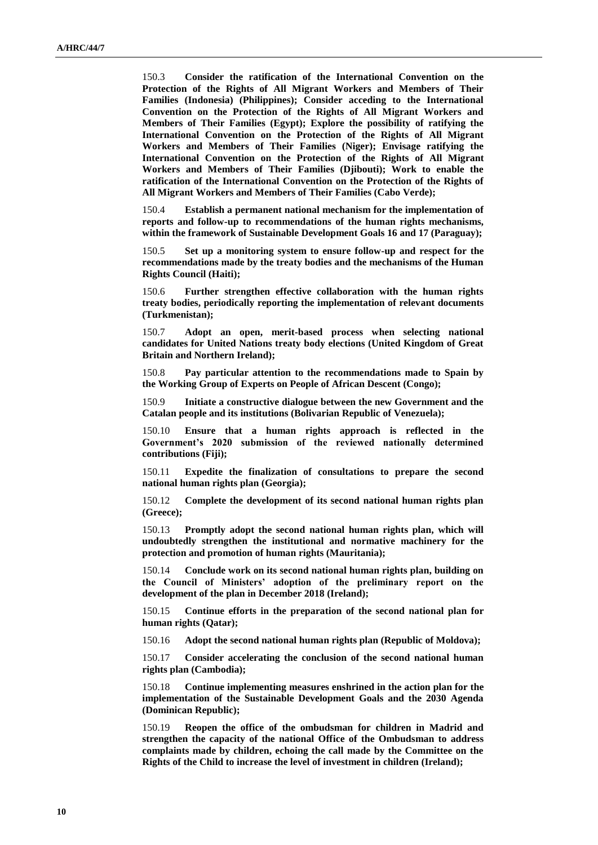150.3 **Consider the ratification of the International Convention on the Protection of the Rights of All Migrant Workers and Members of Their Families (Indonesia) (Philippines); Consider acceding to the International Convention on the Protection of the Rights of All Migrant Workers and Members of Their Families (Egypt); Explore the possibility of ratifying the International Convention on the Protection of the Rights of All Migrant Workers and Members of Their Families (Niger); Envisage ratifying the International Convention on the Protection of the Rights of All Migrant Workers and Members of Their Families (Djibouti); Work to enable the ratification of the International Convention on the Protection of the Rights of All Migrant Workers and Members of Their Families (Cabo Verde);**

150.4 **Establish a permanent national mechanism for the implementation of reports and follow-up to recommendations of the human rights mechanisms, within the framework of Sustainable Development Goals 16 and 17 (Paraguay);**

150.5 **Set up a monitoring system to ensure follow-up and respect for the recommendations made by the treaty bodies and the mechanisms of the Human Rights Council (Haiti);**

150.6 **Further strengthen effective collaboration with the human rights treaty bodies, periodically reporting the implementation of relevant documents (Turkmenistan);**

150.7 **Adopt an open, merit-based process when selecting national candidates for United Nations treaty body elections (United Kingdom of Great Britain and Northern Ireland);**

150.8 **Pay particular attention to the recommendations made to Spain by the Working Group of Experts on People of African Descent (Congo);**

150.9 **Initiate a constructive dialogue between the new Government and the Catalan people and its institutions (Bolivarian Republic of Venezuela);**

150.10 **Ensure that a human rights approach is reflected in the Government's 2020 submission of the reviewed nationally determined contributions (Fiji);**

150.11 **Expedite the finalization of consultations to prepare the second national human rights plan (Georgia);**

150.12 **Complete the development of its second national human rights plan (Greece);**

150.13 **Promptly adopt the second national human rights plan, which will undoubtedly strengthen the institutional and normative machinery for the protection and promotion of human rights (Mauritania);**

150.14 **Conclude work on its second national human rights plan, building on the Council of Ministers' adoption of the preliminary report on the development of the plan in December 2018 (Ireland);**

150.15 **Continue efforts in the preparation of the second national plan for human rights (Qatar);** 

150.16 **Adopt the second national human rights plan (Republic of Moldova);**

150.17 **Consider accelerating the conclusion of the second national human rights plan (Cambodia);**

150.18 **Continue implementing measures enshrined in the action plan for the implementation of the Sustainable Development Goals and the 2030 Agenda (Dominican Republic);**

150.19 **Reopen the office of the ombudsman for children in Madrid and strengthen the capacity of the national Office of the Ombudsman to address complaints made by children, echoing the call made by the Committee on the Rights of the Child to increase the level of investment in children (Ireland);**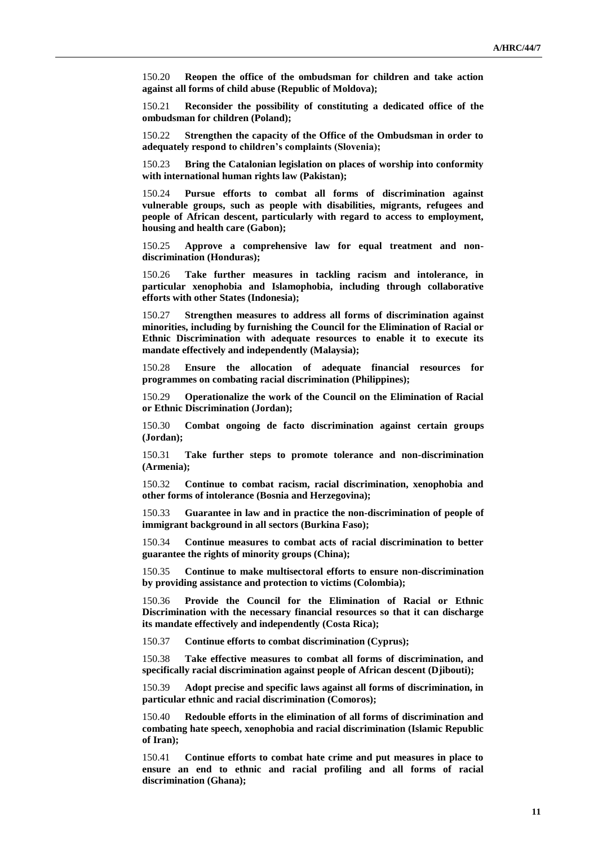150.20 **Reopen the office of the ombudsman for children and take action against all forms of child abuse (Republic of Moldova);**

150.21 **Reconsider the possibility of constituting a dedicated office of the ombudsman for children (Poland);**

150.22 **Strengthen the capacity of the Office of the Ombudsman in order to adequately respond to children's complaints (Slovenia);**

150.23 **Bring the Catalonian legislation on places of worship into conformity with international human rights law (Pakistan);**

150.24 **Pursue efforts to combat all forms of discrimination against vulnerable groups, such as people with disabilities, migrants, refugees and people of African descent, particularly with regard to access to employment, housing and health care (Gabon);**

150.25 **Approve a comprehensive law for equal treatment and nondiscrimination (Honduras);**

150.26 **Take further measures in tackling racism and intolerance, in particular xenophobia and Islamophobia, including through collaborative efforts with other States (Indonesia);**

150.27 **Strengthen measures to address all forms of discrimination against minorities, including by furnishing the Council for the Elimination of Racial or Ethnic Discrimination with adequate resources to enable it to execute its mandate effectively and independently (Malaysia);**

150.28 **Ensure the allocation of adequate financial resources for programmes on combating racial discrimination (Philippines);**

150.29 **Operationalize the work of the Council on the Elimination of Racial or Ethnic Discrimination (Jordan);**

150.30 **Combat ongoing de facto discrimination against certain groups (Jordan);**

150.31 **Take further steps to promote tolerance and non-discrimination (Armenia);**

150.32 **Continue to combat racism, racial discrimination, xenophobia and other forms of intolerance (Bosnia and Herzegovina);**

150.33 **Guarantee in law and in practice the non-discrimination of people of immigrant background in all sectors (Burkina Faso);**

150.34 **Continue measures to combat acts of racial discrimination to better guarantee the rights of minority groups (China);**

150.35 **Continue to make multisectoral efforts to ensure non-discrimination by providing assistance and protection to victims (Colombia);**

150.36 **Provide the Council for the Elimination of Racial or Ethnic Discrimination with the necessary financial resources so that it can discharge its mandate effectively and independently (Costa Rica);**

150.37 **Continue efforts to combat discrimination (Cyprus);**

150.38 **Take effective measures to combat all forms of discrimination, and specifically racial discrimination against people of African descent (Djibouti);**

150.39 **Adopt precise and specific laws against all forms of discrimination, in particular ethnic and racial discrimination (Comoros);**

150.40 **Redouble efforts in the elimination of all forms of discrimination and combating hate speech, xenophobia and racial discrimination (Islamic Republic of Iran);**

150.41 **Continue efforts to combat hate crime and put measures in place to ensure an end to ethnic and racial profiling and all forms of racial discrimination (Ghana);**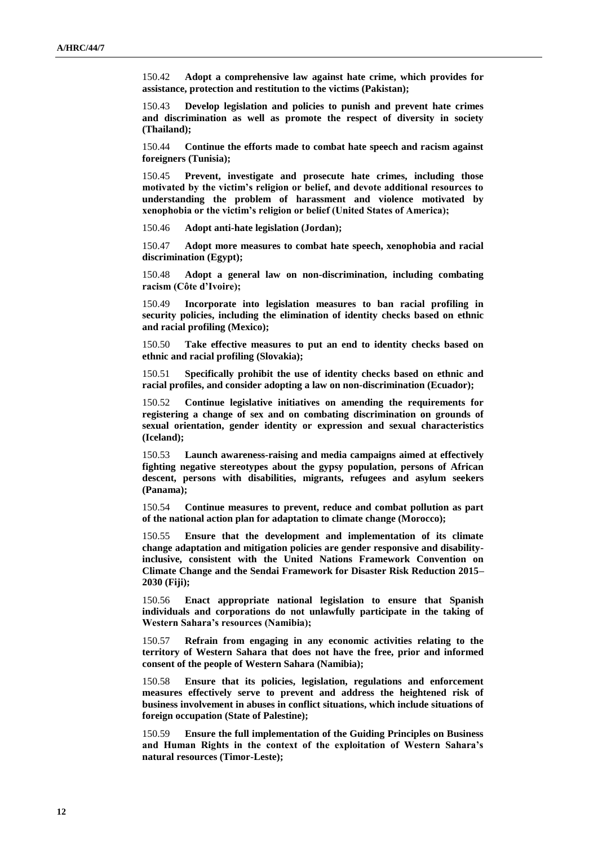150.42 **Adopt a comprehensive law against hate crime, which provides for assistance, protection and restitution to the victims (Pakistan);**

150.43 **Develop legislation and policies to punish and prevent hate crimes and discrimination as well as promote the respect of diversity in society (Thailand);**

150.44 **Continue the efforts made to combat hate speech and racism against foreigners (Tunisia);**

150.45 **Prevent, investigate and prosecute hate crimes, including those motivated by the victim's religion or belief, and devote additional resources to understanding the problem of harassment and violence motivated by xenophobia or the victim's religion or belief (United States of America);**

150.46 **Adopt anti-hate legislation (Jordan);**

150.47 **Adopt more measures to combat hate speech, xenophobia and racial discrimination (Egypt);**

150.48 **Adopt a general law on non-discrimination, including combating racism (Côte d'Ivoire);**

150.49 **Incorporate into legislation measures to ban racial profiling in security policies, including the elimination of identity checks based on ethnic and racial profiling (Mexico);**

150.50 **Take effective measures to put an end to identity checks based on ethnic and racial profiling (Slovakia);**

150.51 **Specifically prohibit the use of identity checks based on ethnic and racial profiles, and consider adopting a law on non-discrimination (Ecuador);**

150.52 **Continue legislative initiatives on amending the requirements for registering a change of sex and on combating discrimination on grounds of sexual orientation, gender identity or expression and sexual characteristics (Iceland);**

150.53 **Launch awareness-raising and media campaigns aimed at effectively fighting negative stereotypes about the gypsy population, persons of African descent, persons with disabilities, migrants, refugees and asylum seekers (Panama);**

150.54 **Continue measures to prevent, reduce and combat pollution as part of the national action plan for adaptation to climate change (Morocco);**

150.55 **Ensure that the development and implementation of its climate change adaptation and mitigation policies are gender responsive and disabilityinclusive, consistent with the United Nations Framework Convention on Climate Change and the Sendai Framework for Disaster Risk Reduction 2015– 2030 (Fiji);**

150.56 **Enact appropriate national legislation to ensure that Spanish individuals and corporations do not unlawfully participate in the taking of Western Sahara's resources (Namibia);**

150.57 **Refrain from engaging in any economic activities relating to the territory of Western Sahara that does not have the free, prior and informed consent of the people of Western Sahara (Namibia);**

150.58 **Ensure that its policies, legislation, regulations and enforcement measures effectively serve to prevent and address the heightened risk of business involvement in abuses in conflict situations, which include situations of foreign occupation (State of Palestine);**

150.59 **Ensure the full implementation of the Guiding Principles on Business and Human Rights in the context of the exploitation of Western Sahara's natural resources (Timor-Leste);**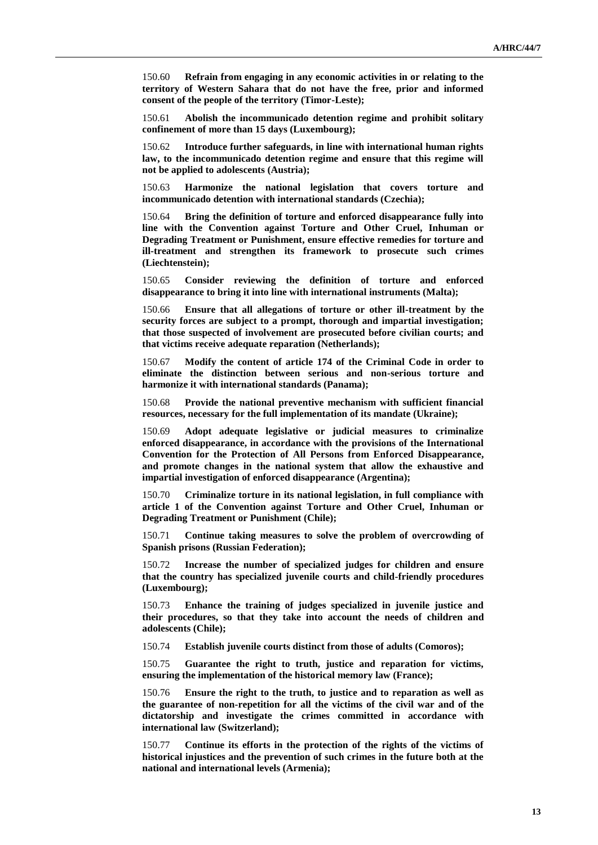150.60 **Refrain from engaging in any economic activities in or relating to the territory of Western Sahara that do not have the free, prior and informed consent of the people of the territory (Timor-Leste);**

150.61 **Abolish the incommunicado detention regime and prohibit solitary confinement of more than 15 days (Luxembourg);**

150.62 **Introduce further safeguards, in line with international human rights law, to the incommunicado detention regime and ensure that this regime will not be applied to adolescents (Austria);**

150.63 **Harmonize the national legislation that covers torture and incommunicado detention with international standards (Czechia);**

150.64 **Bring the definition of torture and enforced disappearance fully into line with the Convention against Torture and Other Cruel, Inhuman or Degrading Treatment or Punishment, ensure effective remedies for torture and ill-treatment and strengthen its framework to prosecute such crimes (Liechtenstein);**

150.65 **Consider reviewing the definition of torture and enforced disappearance to bring it into line with international instruments (Malta);**

150.66 **Ensure that all allegations of torture or other ill-treatment by the security forces are subject to a prompt, thorough and impartial investigation; that those suspected of involvement are prosecuted before civilian courts; and that victims receive adequate reparation (Netherlands);**

150.67 **Modify the content of article 174 of the Criminal Code in order to eliminate the distinction between serious and non-serious torture and harmonize it with international standards (Panama);**

150.68 **Provide the national preventive mechanism with sufficient financial resources, necessary for the full implementation of its mandate (Ukraine);**

150.69 **Adopt adequate legislative or judicial measures to criminalize enforced disappearance, in accordance with the provisions of the International Convention for the Protection of All Persons from Enforced Disappearance, and promote changes in the national system that allow the exhaustive and impartial investigation of enforced disappearance (Argentina);**

150.70 **Criminalize torture in its national legislation, in full compliance with article 1 of the Convention against Torture and Other Cruel, Inhuman or Degrading Treatment or Punishment (Chile);**

150.71 **Continue taking measures to solve the problem of overcrowding of Spanish prisons (Russian Federation);**

150.72 **Increase the number of specialized judges for children and ensure that the country has specialized juvenile courts and child-friendly procedures (Luxembourg);**

150.73 **Enhance the training of judges specialized in juvenile justice and their procedures, so that they take into account the needs of children and adolescents (Chile);**

150.74 **Establish juvenile courts distinct from those of adults (Comoros);**

150.75 **Guarantee the right to truth, justice and reparation for victims, ensuring the implementation of the historical memory law (France);**

150.76 **Ensure the right to the truth, to justice and to reparation as well as the guarantee of non-repetition for all the victims of the civil war and of the dictatorship and investigate the crimes committed in accordance with international law (Switzerland);**

150.77 **Continue its efforts in the protection of the rights of the victims of historical injustices and the prevention of such crimes in the future both at the national and international levels (Armenia);**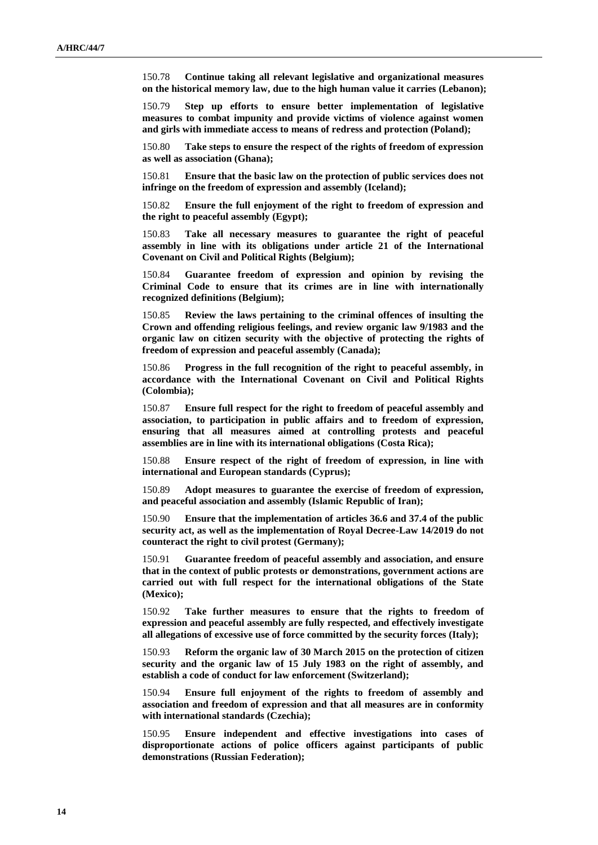150.78 **Continue taking all relevant legislative and organizational measures on the historical memory law, due to the high human value it carries (Lebanon);**

150.79 **Step up efforts to ensure better implementation of legislative measures to combat impunity and provide victims of violence against women and girls with immediate access to means of redress and protection (Poland);**

150.80 **Take steps to ensure the respect of the rights of freedom of expression as well as association (Ghana);**

150.81 **Ensure that the basic law on the protection of public services does not infringe on the freedom of expression and assembly (Iceland);**

150.82 **Ensure the full enjoyment of the right to freedom of expression and the right to peaceful assembly (Egypt);**

150.83 **Take all necessary measures to guarantee the right of peaceful assembly in line with its obligations under article 21 of the International Covenant on Civil and Political Rights (Belgium);**

150.84 **Guarantee freedom of expression and opinion by revising the Criminal Code to ensure that its crimes are in line with internationally recognized definitions (Belgium);**

150.85 **Review the laws pertaining to the criminal offences of insulting the Crown and offending religious feelings, and review organic law 9/1983 and the organic law on citizen security with the objective of protecting the rights of freedom of expression and peaceful assembly (Canada);**

150.86 **Progress in the full recognition of the right to peaceful assembly, in accordance with the International Covenant on Civil and Political Rights (Colombia);**

150.87 **Ensure full respect for the right to freedom of peaceful assembly and association, to participation in public affairs and to freedom of expression, ensuring that all measures aimed at controlling protests and peaceful assemblies are in line with its international obligations (Costa Rica);**

150.88 **Ensure respect of the right of freedom of expression, in line with international and European standards (Cyprus);**

150.89 **Adopt measures to guarantee the exercise of freedom of expression, and peaceful association and assembly (Islamic Republic of Iran);**

150.90 **Ensure that the implementation of articles 36.6 and 37.4 of the public security act, as well as the implementation of Royal Decree-Law 14/2019 do not counteract the right to civil protest (Germany);**

150.91 **Guarantee freedom of peaceful assembly and association, and ensure that in the context of public protests or demonstrations, government actions are carried out with full respect for the international obligations of the State (Mexico);**

150.92 **Take further measures to ensure that the rights to freedom of expression and peaceful assembly are fully respected, and effectively investigate all allegations of excessive use of force committed by the security forces (Italy);**

150.93 **Reform the organic law of 30 March 2015 on the protection of citizen security and the organic law of 15 July 1983 on the right of assembly, and establish a code of conduct for law enforcement (Switzerland);**

150.94 **Ensure full enjoyment of the rights to freedom of assembly and association and freedom of expression and that all measures are in conformity with international standards (Czechia);**

150.95 **Ensure independent and effective investigations into cases of disproportionate actions of police officers against participants of public demonstrations (Russian Federation);**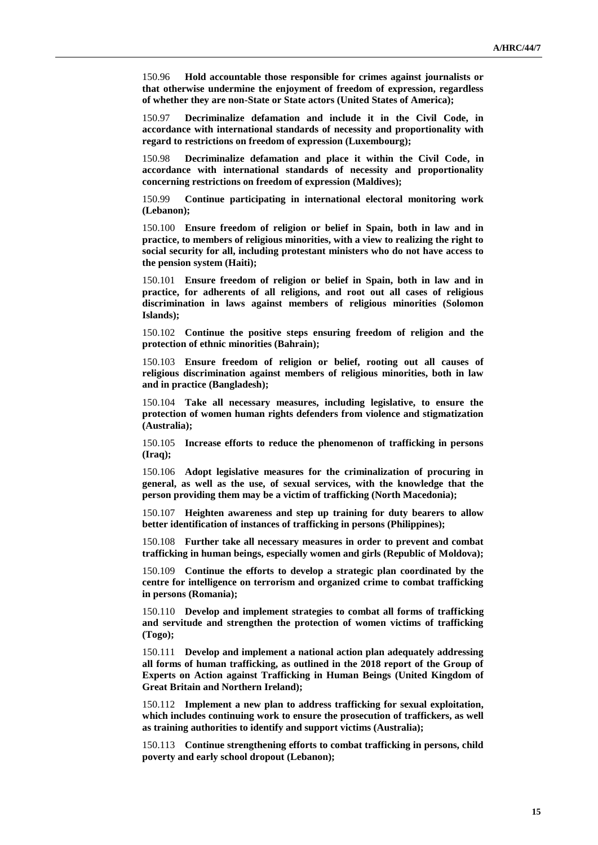150.96 **Hold accountable those responsible for crimes against journalists or that otherwise undermine the enjoyment of freedom of expression, regardless of whether they are non-State or State actors (United States of America);**

150.97 **Decriminalize defamation and include it in the Civil Code, in accordance with international standards of necessity and proportionality with regard to restrictions on freedom of expression (Luxembourg);**

150.98 **Decriminalize defamation and place it within the Civil Code, in accordance with international standards of necessity and proportionality concerning restrictions on freedom of expression (Maldives);**

150.99 **Continue participating in international electoral monitoring work (Lebanon);**

150.100 **Ensure freedom of religion or belief in Spain, both in law and in practice, to members of religious minorities, with a view to realizing the right to social security for all, including protestant ministers who do not have access to the pension system (Haiti);**

150.101 **Ensure freedom of religion or belief in Spain, both in law and in practice, for adherents of all religions, and root out all cases of religious discrimination in laws against members of religious minorities (Solomon Islands);**

150.102 **Continue the positive steps ensuring freedom of religion and the protection of ethnic minorities (Bahrain);**

150.103 **Ensure freedom of religion or belief, rooting out all causes of religious discrimination against members of religious minorities, both in law and in practice (Bangladesh);**

150.104 **Take all necessary measures, including legislative, to ensure the protection of women human rights defenders from violence and stigmatization (Australia);**

150.105 **Increase efforts to reduce the phenomenon of trafficking in persons (Iraq);**

150.106 **Adopt legislative measures for the criminalization of procuring in general, as well as the use, of sexual services, with the knowledge that the person providing them may be a victim of trafficking (North Macedonia);**

150.107 **Heighten awareness and step up training for duty bearers to allow better identification of instances of trafficking in persons (Philippines);**

150.108 **Further take all necessary measures in order to prevent and combat trafficking in human beings, especially women and girls (Republic of Moldova);**

150.109 **Continue the efforts to develop a strategic plan coordinated by the centre for intelligence on terrorism and organized crime to combat trafficking in persons (Romania);**

150.110 **Develop and implement strategies to combat all forms of trafficking and servitude and strengthen the protection of women victims of trafficking (Togo);**

150.111 **Develop and implement a national action plan adequately addressing all forms of human trafficking, as outlined in the 2018 report of the Group of Experts on Action against Trafficking in Human Beings (United Kingdom of Great Britain and Northern Ireland);**

150.112 **Implement a new plan to address trafficking for sexual exploitation, which includes continuing work to ensure the prosecution of traffickers, as well as training authorities to identify and support victims (Australia);**

150.113 **Continue strengthening efforts to combat trafficking in persons, child poverty and early school dropout (Lebanon);**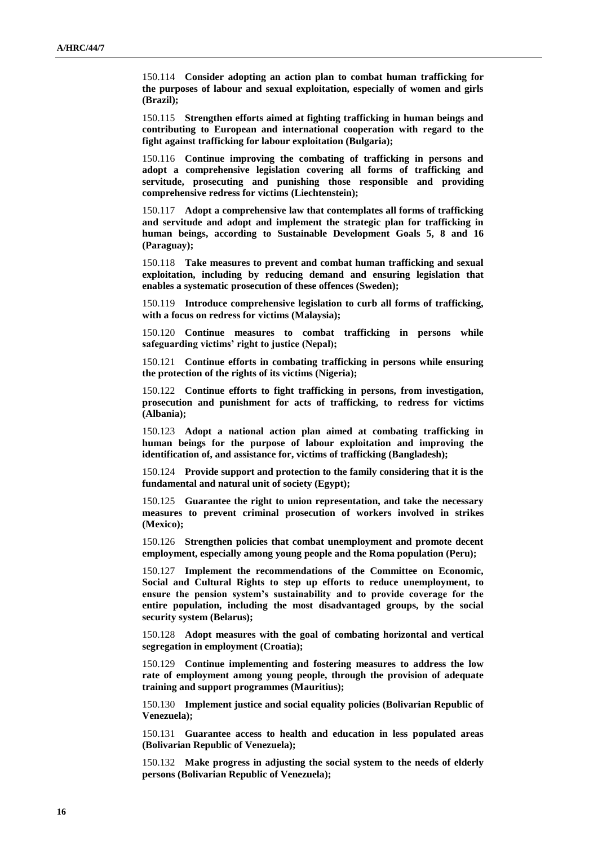150.114 **Consider adopting an action plan to combat human trafficking for the purposes of labour and sexual exploitation, especially of women and girls (Brazil);**

150.115 **Strengthen efforts aimed at fighting trafficking in human beings and contributing to European and international cooperation with regard to the fight against trafficking for labour exploitation (Bulgaria);**

150.116 **Continue improving the combating of trafficking in persons and adopt a comprehensive legislation covering all forms of trafficking and servitude, prosecuting and punishing those responsible and providing comprehensive redress for victims (Liechtenstein);**

150.117 **Adopt a comprehensive law that contemplates all forms of trafficking and servitude and adopt and implement the strategic plan for trafficking in human beings, according to Sustainable Development Goals 5, 8 and 16 (Paraguay);**

150.118 **Take measures to prevent and combat human trafficking and sexual exploitation, including by reducing demand and ensuring legislation that enables a systematic prosecution of these offences (Sweden);**

150.119 **Introduce comprehensive legislation to curb all forms of trafficking, with a focus on redress for victims (Malaysia);**

150.120 **Continue measures to combat trafficking in persons while safeguarding victims' right to justice (Nepal);**

150.121 **Continue efforts in combating trafficking in persons while ensuring the protection of the rights of its victims (Nigeria);**

150.122 **Continue efforts to fight trafficking in persons, from investigation, prosecution and punishment for acts of trafficking, to redress for victims (Albania);**

150.123 **Adopt a national action plan aimed at combating trafficking in human beings for the purpose of labour exploitation and improving the identification of, and assistance for, victims of trafficking (Bangladesh);**

150.124 **Provide support and protection to the family considering that it is the fundamental and natural unit of society (Egypt);**

150.125 **Guarantee the right to union representation, and take the necessary measures to prevent criminal prosecution of workers involved in strikes (Mexico);**

150.126 **Strengthen policies that combat unemployment and promote decent employment, especially among young people and the Roma population (Peru);**

150.127 **Implement the recommendations of the Committee on Economic, Social and Cultural Rights to step up efforts to reduce unemployment, to ensure the pension system's sustainability and to provide coverage for the entire population, including the most disadvantaged groups, by the social security system (Belarus);**

150.128 **Adopt measures with the goal of combating horizontal and vertical segregation in employment (Croatia);**

150.129 **Continue implementing and fostering measures to address the low rate of employment among young people, through the provision of adequate training and support programmes (Mauritius);**

150.130 **Implement justice and social equality policies (Bolivarian Republic of Venezuela);**

150.131 **Guarantee access to health and education in less populated areas (Bolivarian Republic of Venezuela);**

150.132 **Make progress in adjusting the social system to the needs of elderly persons (Bolivarian Republic of Venezuela);**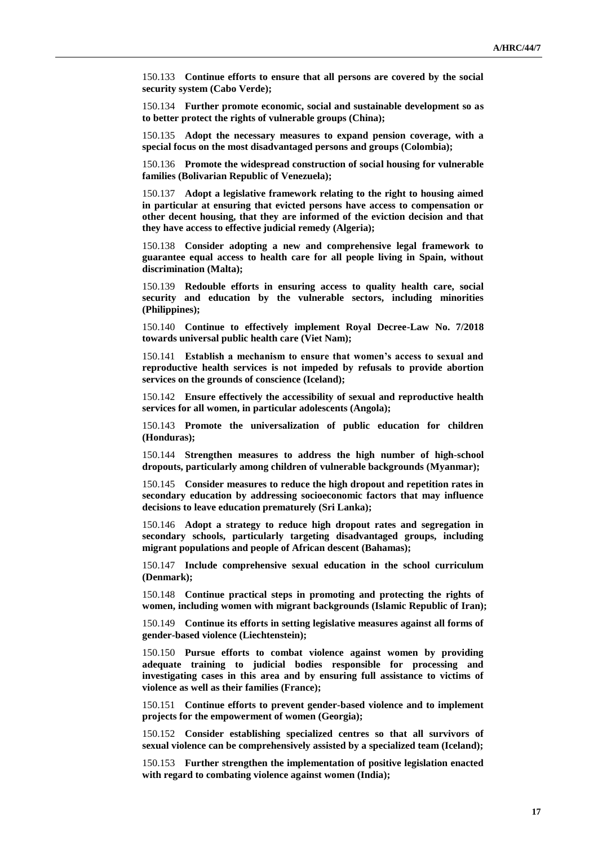150.133 **Continue efforts to ensure that all persons are covered by the social security system (Cabo Verde);**

150.134 **Further promote economic, social and sustainable development so as to better protect the rights of vulnerable groups (China);**

150.135 **Adopt the necessary measures to expand pension coverage, with a special focus on the most disadvantaged persons and groups (Colombia);**

150.136 **Promote the widespread construction of social housing for vulnerable families (Bolivarian Republic of Venezuela);**

150.137 **Adopt a legislative framework relating to the right to housing aimed in particular at ensuring that evicted persons have access to compensation or other decent housing, that they are informed of the eviction decision and that they have access to effective judicial remedy (Algeria);**

150.138 **Consider adopting a new and comprehensive legal framework to guarantee equal access to health care for all people living in Spain, without discrimination (Malta);**

150.139 **Redouble efforts in ensuring access to quality health care, social security and education by the vulnerable sectors, including minorities (Philippines);**

150.140 **Continue to effectively implement Royal Decree-Law No. 7/2018 towards universal public health care (Viet Nam);**

150.141 **Establish a mechanism to ensure that women's access to sexual and reproductive health services is not impeded by refusals to provide abortion services on the grounds of conscience (Iceland);**

150.142 **Ensure effectively the accessibility of sexual and reproductive health services for all women, in particular adolescents (Angola);**

150.143 **Promote the universalization of public education for children (Honduras);**

150.144 **Strengthen measures to address the high number of high-school dropouts, particularly among children of vulnerable backgrounds (Myanmar);**

150.145 **Consider measures to reduce the high dropout and repetition rates in secondary education by addressing socioeconomic factors that may influence decisions to leave education prematurely (Sri Lanka);**

150.146 **Adopt a strategy to reduce high dropout rates and segregation in secondary schools, particularly targeting disadvantaged groups, including migrant populations and people of African descent (Bahamas);**

150.147 **Include comprehensive sexual education in the school curriculum (Denmark);**

150.148 **Continue practical steps in promoting and protecting the rights of women, including women with migrant backgrounds (Islamic Republic of Iran);**

150.149 **Continue its efforts in setting legislative measures against all forms of gender-based violence (Liechtenstein);**

150.150 **Pursue efforts to combat violence against women by providing adequate training to judicial bodies responsible for processing and investigating cases in this area and by ensuring full assistance to victims of violence as well as their families (France);**

150.151 **Continue efforts to prevent gender-based violence and to implement projects for the empowerment of women (Georgia);**

150.152 **Consider establishing specialized centres so that all survivors of sexual violence can be comprehensively assisted by a specialized team (Iceland);**

150.153 **Further strengthen the implementation of positive legislation enacted with regard to combating violence against women (India);**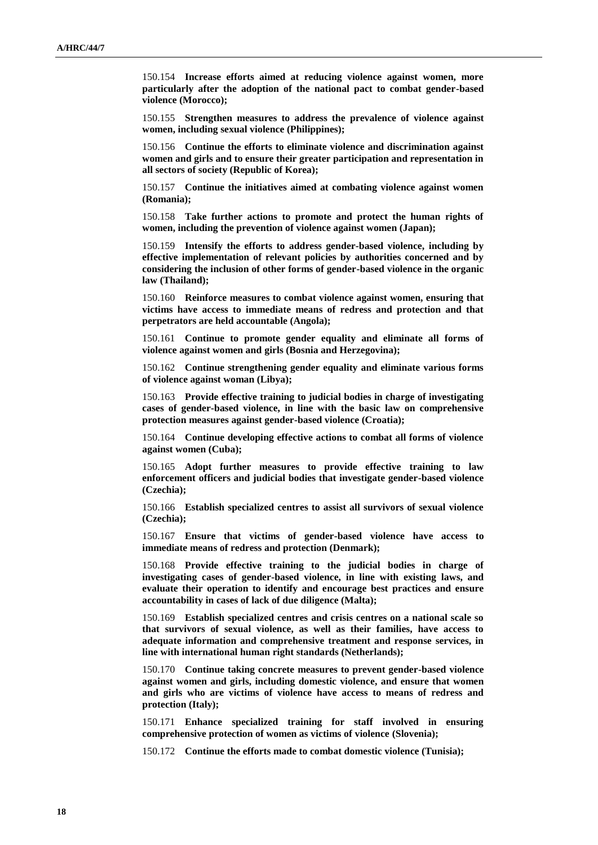150.154 **Increase efforts aimed at reducing violence against women, more particularly after the adoption of the national pact to combat gender-based violence (Morocco);**

150.155 **Strengthen measures to address the prevalence of violence against women, including sexual violence (Philippines);**

150.156 **Continue the efforts to eliminate violence and discrimination against women and girls and to ensure their greater participation and representation in all sectors of society (Republic of Korea);**

150.157 **Continue the initiatives aimed at combating violence against women (Romania);**

150.158 **Take further actions to promote and protect the human rights of women, including the prevention of violence against women (Japan);**

150.159 **Intensify the efforts to address gender-based violence, including by effective implementation of relevant policies by authorities concerned and by considering the inclusion of other forms of gender-based violence in the organic law (Thailand);**

150.160 **Reinforce measures to combat violence against women, ensuring that victims have access to immediate means of redress and protection and that perpetrators are held accountable (Angola);**

150.161 **Continue to promote gender equality and eliminate all forms of violence against women and girls (Bosnia and Herzegovina);**

150.162 **Continue strengthening gender equality and eliminate various forms of violence against woman (Libya);**

150.163 **Provide effective training to judicial bodies in charge of investigating cases of gender-based violence, in line with the basic law on comprehensive protection measures against gender-based violence (Croatia);**

150.164 **Continue developing effective actions to combat all forms of violence against women (Cuba);**

150.165 **Adopt further measures to provide effective training to law enforcement officers and judicial bodies that investigate gender-based violence (Czechia);**

150.166 **Establish specialized centres to assist all survivors of sexual violence (Czechia);**

150.167 **Ensure that victims of gender-based violence have access to immediate means of redress and protection (Denmark);**

150.168 **Provide effective training to the judicial bodies in charge of investigating cases of gender-based violence, in line with existing laws, and evaluate their operation to identify and encourage best practices and ensure accountability in cases of lack of due diligence (Malta);**

150.169 **Establish specialized centres and crisis centres on a national scale so that survivors of sexual violence, as well as their families, have access to adequate information and comprehensive treatment and response services, in line with international human right standards (Netherlands);**

150.170 **Continue taking concrete measures to prevent gender-based violence against women and girls, including domestic violence, and ensure that women and girls who are victims of violence have access to means of redress and protection (Italy);**

150.171 **Enhance specialized training for staff involved in ensuring comprehensive protection of women as victims of violence (Slovenia);**

150.172 **Continue the efforts made to combat domestic violence (Tunisia);**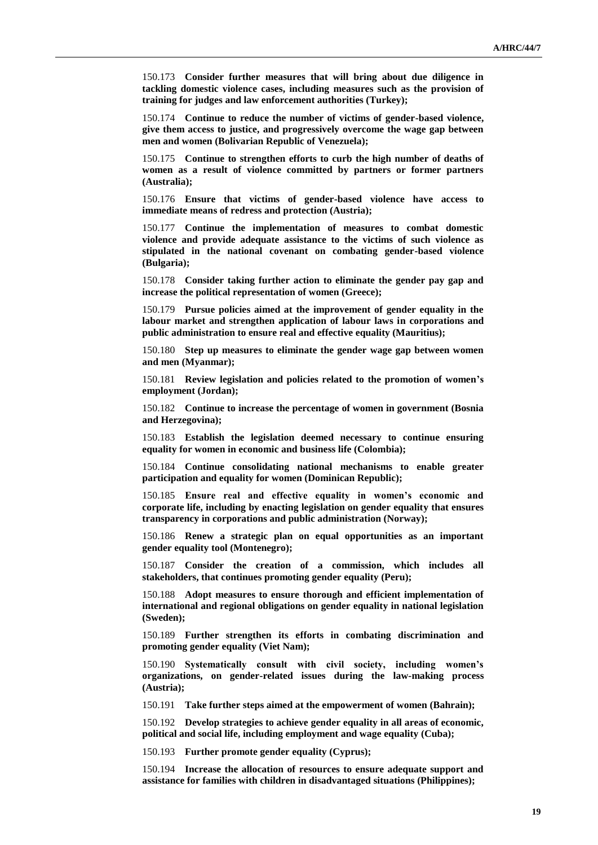150.173 **Consider further measures that will bring about due diligence in tackling domestic violence cases, including measures such as the provision of training for judges and law enforcement authorities (Turkey);**

150.174 **Continue to reduce the number of victims of gender-based violence, give them access to justice, and progressively overcome the wage gap between men and women (Bolivarian Republic of Venezuela);**

150.175 **Continue to strengthen efforts to curb the high number of deaths of women as a result of violence committed by partners or former partners (Australia);**

150.176 **Ensure that victims of gender-based violence have access to immediate means of redress and protection (Austria);**

150.177 **Continue the implementation of measures to combat domestic violence and provide adequate assistance to the victims of such violence as stipulated in the national covenant on combating gender-based violence (Bulgaria);**

150.178 **Consider taking further action to eliminate the gender pay gap and increase the political representation of women (Greece);**

150.179 **Pursue policies aimed at the improvement of gender equality in the labour market and strengthen application of labour laws in corporations and public administration to ensure real and effective equality (Mauritius);**

150.180 **Step up measures to eliminate the gender wage gap between women and men (Myanmar);**

150.181 **Review legislation and policies related to the promotion of women's employment (Jordan);**

150.182 **Continue to increase the percentage of women in government (Bosnia and Herzegovina);**

150.183 **Establish the legislation deemed necessary to continue ensuring equality for women in economic and business life (Colombia);**

150.184 **Continue consolidating national mechanisms to enable greater participation and equality for women (Dominican Republic);**

150.185 **Ensure real and effective equality in women's economic and corporate life, including by enacting legislation on gender equality that ensures transparency in corporations and public administration (Norway);**

150.186 **Renew a strategic plan on equal opportunities as an important gender equality tool (Montenegro);**

150.187 **Consider the creation of a commission, which includes all stakeholders, that continues promoting gender equality (Peru);**

150.188 **Adopt measures to ensure thorough and efficient implementation of international and regional obligations on gender equality in national legislation (Sweden);**

150.189 **Further strengthen its efforts in combating discrimination and promoting gender equality (Viet Nam);**

150.190 **Systematically consult with civil society, including women's organizations, on gender-related issues during the law-making process (Austria);**

150.191 **Take further steps aimed at the empowerment of women (Bahrain);**

150.192 **Develop strategies to achieve gender equality in all areas of economic, political and social life, including employment and wage equality (Cuba);**

150.193 **Further promote gender equality (Cyprus);**

150.194 **Increase the allocation of resources to ensure adequate support and assistance for families with children in disadvantaged situations (Philippines);**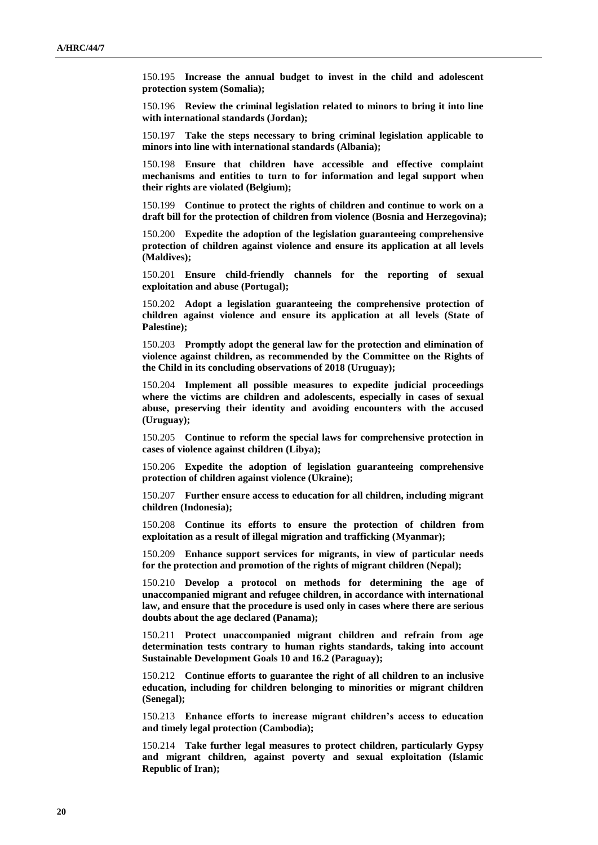150.195 **Increase the annual budget to invest in the child and adolescent protection system (Somalia);**

150.196 **Review the criminal legislation related to minors to bring it into line with international standards (Jordan);**

150.197 **Take the steps necessary to bring criminal legislation applicable to minors into line with international standards (Albania);**

150.198 **Ensure that children have accessible and effective complaint mechanisms and entities to turn to for information and legal support when their rights are violated (Belgium);**

150.199 **Continue to protect the rights of children and continue to work on a draft bill for the protection of children from violence (Bosnia and Herzegovina);**

150.200 **Expedite the adoption of the legislation guaranteeing comprehensive protection of children against violence and ensure its application at all levels (Maldives);**

150.201 **Ensure child-friendly channels for the reporting of sexual exploitation and abuse (Portugal);**

150.202 **Adopt a legislation guaranteeing the comprehensive protection of children against violence and ensure its application at all levels (State of Palestine);**

150.203 **Promptly adopt the general law for the protection and elimination of violence against children, as recommended by the Committee on the Rights of the Child in its concluding observations of 2018 (Uruguay);**

150.204 **Implement all possible measures to expedite judicial proceedings where the victims are children and adolescents, especially in cases of sexual abuse, preserving their identity and avoiding encounters with the accused (Uruguay);**

150.205 **Continue to reform the special laws for comprehensive protection in cases of violence against children (Libya);**

150.206 **Expedite the adoption of legislation guaranteeing comprehensive protection of children against violence (Ukraine);**

150.207 **Further ensure access to education for all children, including migrant children (Indonesia);**

150.208 **Continue its efforts to ensure the protection of children from exploitation as a result of illegal migration and trafficking (Myanmar);**

150.209 **Enhance support services for migrants, in view of particular needs for the protection and promotion of the rights of migrant children (Nepal);**

150.210 **Develop a protocol on methods for determining the age of unaccompanied migrant and refugee children, in accordance with international law, and ensure that the procedure is used only in cases where there are serious doubts about the age declared (Panama);**

150.211 **Protect unaccompanied migrant children and refrain from age determination tests contrary to human rights standards, taking into account Sustainable Development Goals 10 and 16.2 (Paraguay);**

150.212 **Continue efforts to guarantee the right of all children to an inclusive education, including for children belonging to minorities or migrant children (Senegal);**

150.213 **Enhance efforts to increase migrant children's access to education and timely legal protection (Cambodia);**

150.214 **Take further legal measures to protect children, particularly Gypsy and migrant children, against poverty and sexual exploitation (Islamic Republic of Iran);**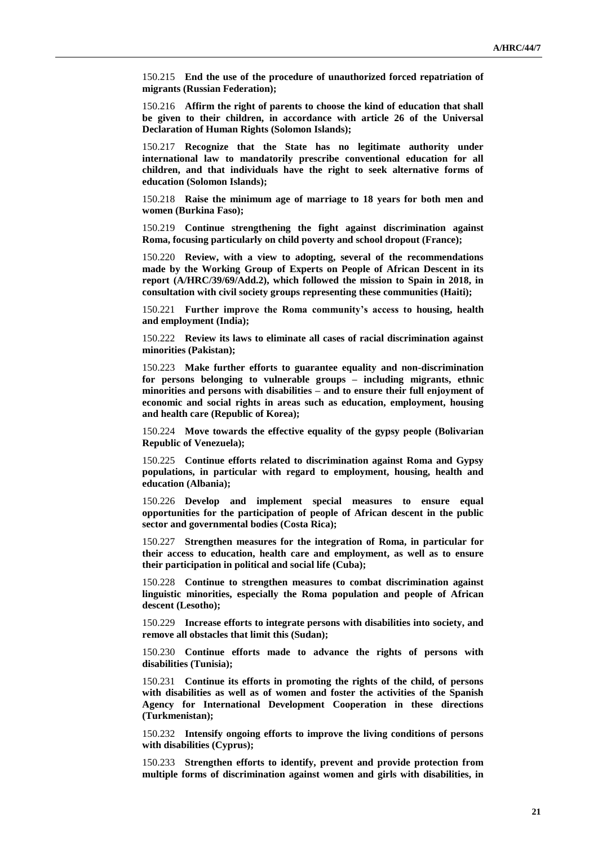150.215 **End the use of the procedure of unauthorized forced repatriation of migrants (Russian Federation);**

150.216 **Affirm the right of parents to choose the kind of education that shall be given to their children, in accordance with article 26 of the Universal Declaration of Human Rights (Solomon Islands);**

150.217 **Recognize that the State has no legitimate authority under international law to mandatorily prescribe conventional education for all children, and that individuals have the right to seek alternative forms of education (Solomon Islands);**

150.218 **Raise the minimum age of marriage to 18 years for both men and women (Burkina Faso);**

150.219 **Continue strengthening the fight against discrimination against Roma, focusing particularly on child poverty and school dropout (France);**

150.220 **Review, with a view to adopting, several of the recommendations made by the Working Group of Experts on People of African Descent in its report (A/HRC/39/69/Add.2), which followed the mission to Spain in 2018, in consultation with civil society groups representing these communities (Haiti);**

150.221 **Further improve the Roma community's access to housing, health and employment (India);**

150.222 **Review its laws to eliminate all cases of racial discrimination against minorities (Pakistan);**

150.223 **Make further efforts to guarantee equality and non-discrimination for persons belonging to vulnerable groups – including migrants, ethnic minorities and persons with disabilities – and to ensure their full enjoyment of economic and social rights in areas such as education, employment, housing and health care (Republic of Korea);**

150.224 **Move towards the effective equality of the gypsy people (Bolivarian Republic of Venezuela);**

150.225 **Continue efforts related to discrimination against Roma and Gypsy populations, in particular with regard to employment, housing, health and education (Albania);**

150.226 **Develop and implement special measures to ensure equal opportunities for the participation of people of African descent in the public sector and governmental bodies (Costa Rica);**

150.227 **Strengthen measures for the integration of Roma, in particular for their access to education, health care and employment, as well as to ensure their participation in political and social life (Cuba);**

150.228 **Continue to strengthen measures to combat discrimination against linguistic minorities, especially the Roma population and people of African descent (Lesotho);**

150.229 **Increase efforts to integrate persons with disabilities into society, and remove all obstacles that limit this (Sudan);**

150.230 **Continue efforts made to advance the rights of persons with disabilities (Tunisia);**

150.231 **Continue its efforts in promoting the rights of the child, of persons with disabilities as well as of women and foster the activities of the Spanish Agency for International Development Cooperation in these directions (Turkmenistan);**

150.232 **Intensify ongoing efforts to improve the living conditions of persons with disabilities (Cyprus);**

150.233 **Strengthen efforts to identify, prevent and provide protection from multiple forms of discrimination against women and girls with disabilities, in**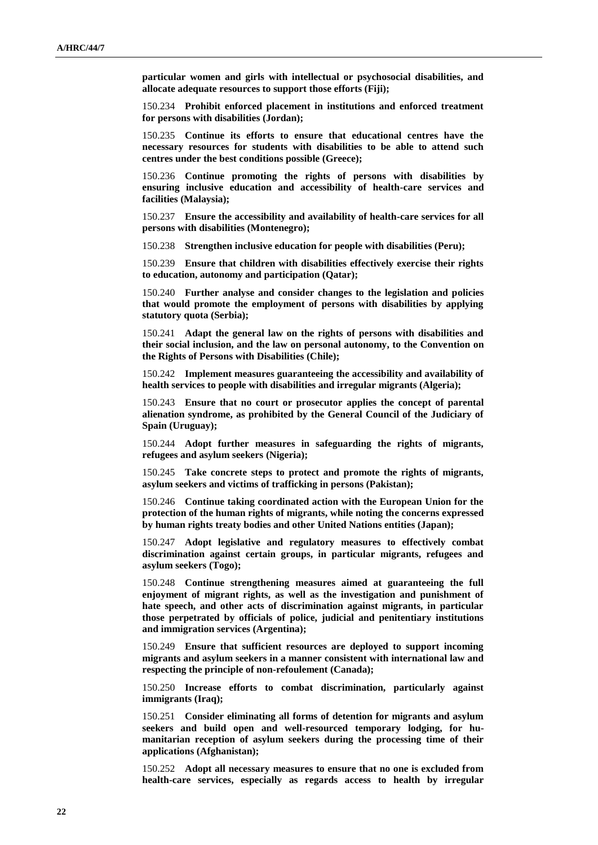**particular women and girls with intellectual or psychosocial disabilities, and allocate adequate resources to support those efforts (Fiji);**

150.234 **Prohibit enforced placement in institutions and enforced treatment for persons with disabilities (Jordan);**

150.235 **Continue its efforts to ensure that educational centres have the necessary resources for students with disabilities to be able to attend such centres under the best conditions possible (Greece);**

150.236 **Continue promoting the rights of persons with disabilities by ensuring inclusive education and accessibility of health-care services and facilities (Malaysia);**

150.237 **Ensure the accessibility and availability of health-care services for all persons with disabilities (Montenegro);**

150.238 **Strengthen inclusive education for people with disabilities (Peru);**

150.239 **Ensure that children with disabilities effectively exercise their rights to education, autonomy and participation (Qatar);**

150.240 **Further analyse and consider changes to the legislation and policies that would promote the employment of persons with disabilities by applying statutory quota (Serbia);**

150.241 **Adapt the general law on the rights of persons with disabilities and their social inclusion, and the law on personal autonomy, to the Convention on the Rights of Persons with Disabilities (Chile);**

150.242 **Implement measures guaranteeing the accessibility and availability of health services to people with disabilities and irregular migrants (Algeria);**

150.243 **Ensure that no court or prosecutor applies the concept of parental alienation syndrome, as prohibited by the General Council of the Judiciary of Spain (Uruguay);**

150.244 **Adopt further measures in safeguarding the rights of migrants, refugees and asylum seekers (Nigeria);**

150.245 **Take concrete steps to protect and promote the rights of migrants, asylum seekers and victims of trafficking in persons (Pakistan);**

150.246 **Continue taking coordinated action with the European Union for the protection of the human rights of migrants, while noting the concerns expressed by human rights treaty bodies and other United Nations entities (Japan);**

150.247 **Adopt legislative and regulatory measures to effectively combat discrimination against certain groups, in particular migrants, refugees and asylum seekers (Togo);**

150.248 **Continue strengthening measures aimed at guaranteeing the full enjoyment of migrant rights, as well as the investigation and punishment of hate speech, and other acts of discrimination against migrants, in particular those perpetrated by officials of police, judicial and penitentiary institutions and immigration services (Argentina);**

150.249 **Ensure that sufficient resources are deployed to support incoming migrants and asylum seekers in a manner consistent with international law and respecting the principle of non-refoulement (Canada);**

150.250 **Increase efforts to combat discrimination, particularly against immigrants (Iraq);**

150.251 **Consider eliminating all forms of detention for migrants and asylum seekers and build open and well-resourced temporary lodging, for humanitarian reception of asylum seekers during the processing time of their applications (Afghanistan);**

150.252 **Adopt all necessary measures to ensure that no one is excluded from health-care services, especially as regards access to health by irregular**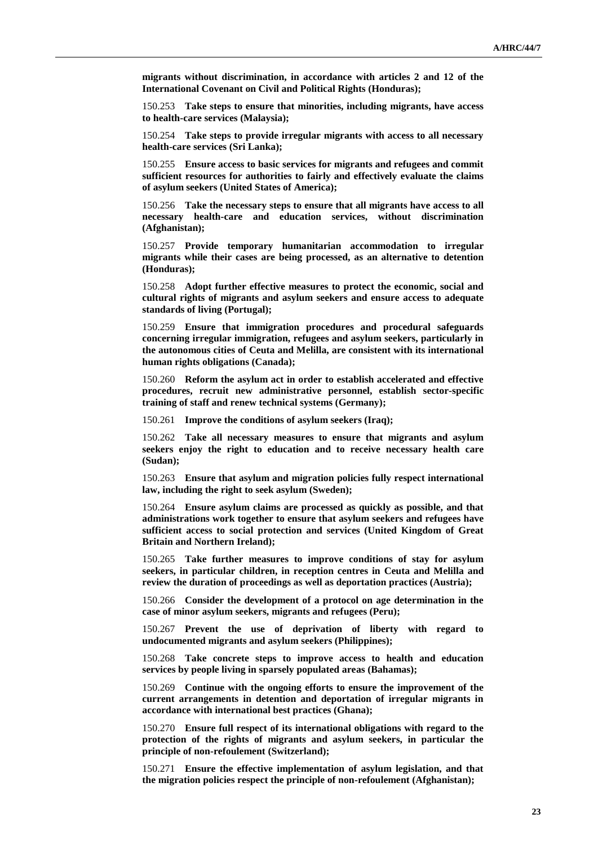**migrants without discrimination, in accordance with articles 2 and 12 of the International Covenant on Civil and Political Rights (Honduras);**

150.253 **Take steps to ensure that minorities, including migrants, have access to health-care services (Malaysia);**

150.254 **Take steps to provide irregular migrants with access to all necessary health-care services (Sri Lanka);**

150.255 **Ensure access to basic services for migrants and refugees and commit sufficient resources for authorities to fairly and effectively evaluate the claims of asylum seekers (United States of America);**

150.256 **Take the necessary steps to ensure that all migrants have access to all necessary health-care and education services, without discrimination (Afghanistan);**

150.257 **Provide temporary humanitarian accommodation to irregular migrants while their cases are being processed, as an alternative to detention (Honduras);**

150.258 **Adopt further effective measures to protect the economic, social and cultural rights of migrants and asylum seekers and ensure access to adequate standards of living (Portugal);**

150.259 **Ensure that immigration procedures and procedural safeguards concerning irregular immigration, refugees and asylum seekers, particularly in the autonomous cities of Ceuta and Melilla, are consistent with its international human rights obligations (Canada);**

150.260 **Reform the asylum act in order to establish accelerated and effective procedures, recruit new administrative personnel, establish sector-specific training of staff and renew technical systems (Germany);**

150.261 **Improve the conditions of asylum seekers (Iraq);**

150.262 **Take all necessary measures to ensure that migrants and asylum seekers enjoy the right to education and to receive necessary health care (Sudan);**

150.263 **Ensure that asylum and migration policies fully respect international law, including the right to seek asylum (Sweden);**

150.264 **Ensure asylum claims are processed as quickly as possible, and that administrations work together to ensure that asylum seekers and refugees have sufficient access to social protection and services (United Kingdom of Great Britain and Northern Ireland);**

150.265 **Take further measures to improve conditions of stay for asylum seekers, in particular children, in reception centres in Ceuta and Melilla and review the duration of proceedings as well as deportation practices (Austria);**

150.266 **Consider the development of a protocol on age determination in the case of minor asylum seekers, migrants and refugees (Peru);**

150.267 **Prevent the use of deprivation of liberty with regard to undocumented migrants and asylum seekers (Philippines);**

150.268 **Take concrete steps to improve access to health and education services by people living in sparsely populated areas (Bahamas);**

150.269 **Continue with the ongoing efforts to ensure the improvement of the current arrangements in detention and deportation of irregular migrants in accordance with international best practices (Ghana);**

150.270 **Ensure full respect of its international obligations with regard to the protection of the rights of migrants and asylum seekers, in particular the principle of non-refoulement (Switzerland);**

150.271 **Ensure the effective implementation of asylum legislation, and that the migration policies respect the principle of non-refoulement (Afghanistan);**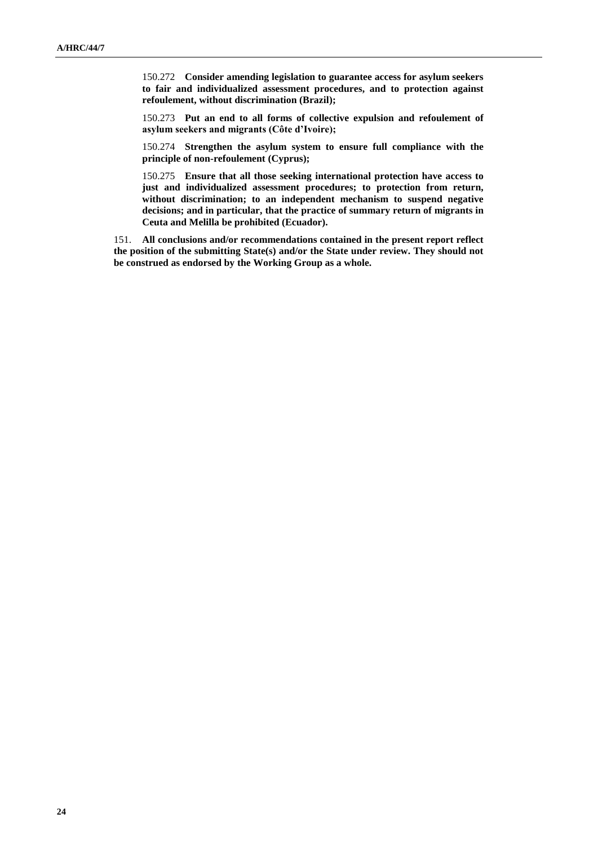150.272 **Consider amending legislation to guarantee access for asylum seekers to fair and individualized assessment procedures, and to protection against refoulement, without discrimination (Brazil);**

150.273 **Put an end to all forms of collective expulsion and refoulement of asylum seekers and migrants (Côte d'Ivoire);**

150.274 **Strengthen the asylum system to ensure full compliance with the principle of non-refoulement (Cyprus);**

150.275 **Ensure that all those seeking international protection have access to just and individualized assessment procedures; to protection from return, without discrimination; to an independent mechanism to suspend negative decisions; and in particular, that the practice of summary return of migrants in Ceuta and Melilla be prohibited (Ecuador).**

151. **All conclusions and/or recommendations contained in the present report reflect the position of the submitting State(s) and/or the State under review. They should not be construed as endorsed by the Working Group as a whole.**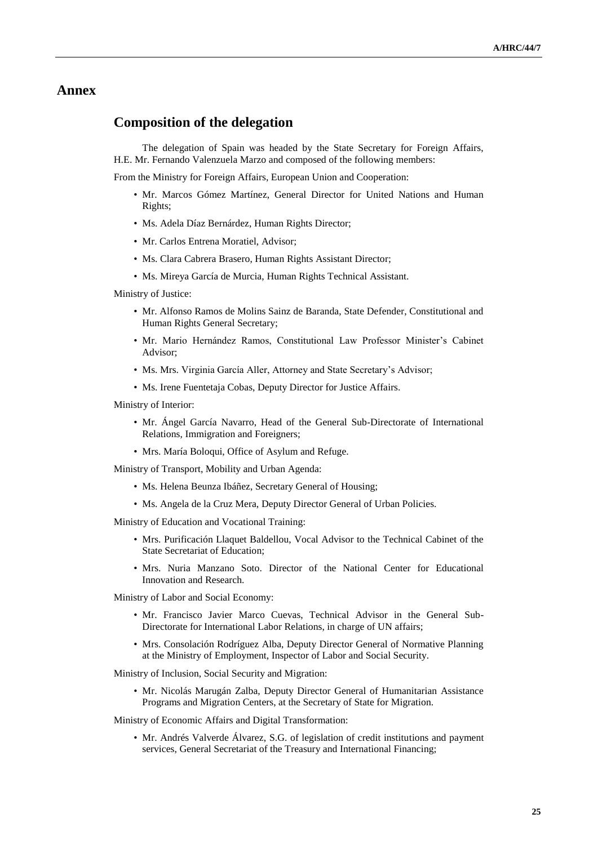## **Annex**

## **Composition of the delegation**

The delegation of Spain was headed by the State Secretary for Foreign Affairs, H.E. Mr. Fernando Valenzuela Marzo and composed of the following members:

From the Ministry for Foreign Affairs, European Union and Cooperation:

- Mr. Marcos Gómez Martínez, General Director for United Nations and Human Rights;
- Ms. Adela Díaz Bernárdez, Human Rights Director;
- Mr. Carlos Entrena Moratiel, Advisor;
- Ms. Clara Cabrera Brasero, Human Rights Assistant Director;
- Ms. Mireya García de Murcia, Human Rights Technical Assistant.

Ministry of Justice:

- Mr. Alfonso Ramos de Molins Sainz de Baranda, State Defender, Constitutional and Human Rights General Secretary;
- Mr. Mario Hernández Ramos, Constitutional Law Professor Minister's Cabinet Advisor;
- Ms. Mrs. Virginia García Aller, Attorney and State Secretary's Advisor;
- Ms. Irene Fuentetaja Cobas, Deputy Director for Justice Affairs.

Ministry of Interior:

- Mr. Ángel García Navarro, Head of the General Sub-Directorate of International Relations, Immigration and Foreigners;
- Mrs. María Boloqui, Office of Asylum and Refuge.

Ministry of Transport, Mobility and Urban Agenda:

- Ms. Helena Beunza Ibáñez, Secretary General of Housing;
- Ms. Angela de la Cruz Mera, Deputy Director General of Urban Policies.

Ministry of Education and Vocational Training:

- Mrs. Purificación Llaquet Baldellou, Vocal Advisor to the Technical Cabinet of the State Secretariat of Education;
- Mrs. Nuria Manzano Soto. Director of the National Center for Educational Innovation and Research.

Ministry of Labor and Social Economy:

- Mr. Francisco Javier Marco Cuevas, Technical Advisor in the General Sub-Directorate for International Labor Relations, in charge of UN affairs;
- Mrs. Consolación Rodríguez Alba, Deputy Director General of Normative Planning at the Ministry of Employment, Inspector of Labor and Social Security.

Ministry of Inclusion, Social Security and Migration:

• Mr. Nicolás Marugán Zalba, Deputy Director General of Humanitarian Assistance Programs and Migration Centers, at the Secretary of State for Migration.

Ministry of Economic Affairs and Digital Transformation:

• Mr. Andrés Valverde Álvarez, S.G. of legislation of credit institutions and payment services, General Secretariat of the Treasury and International Financing;